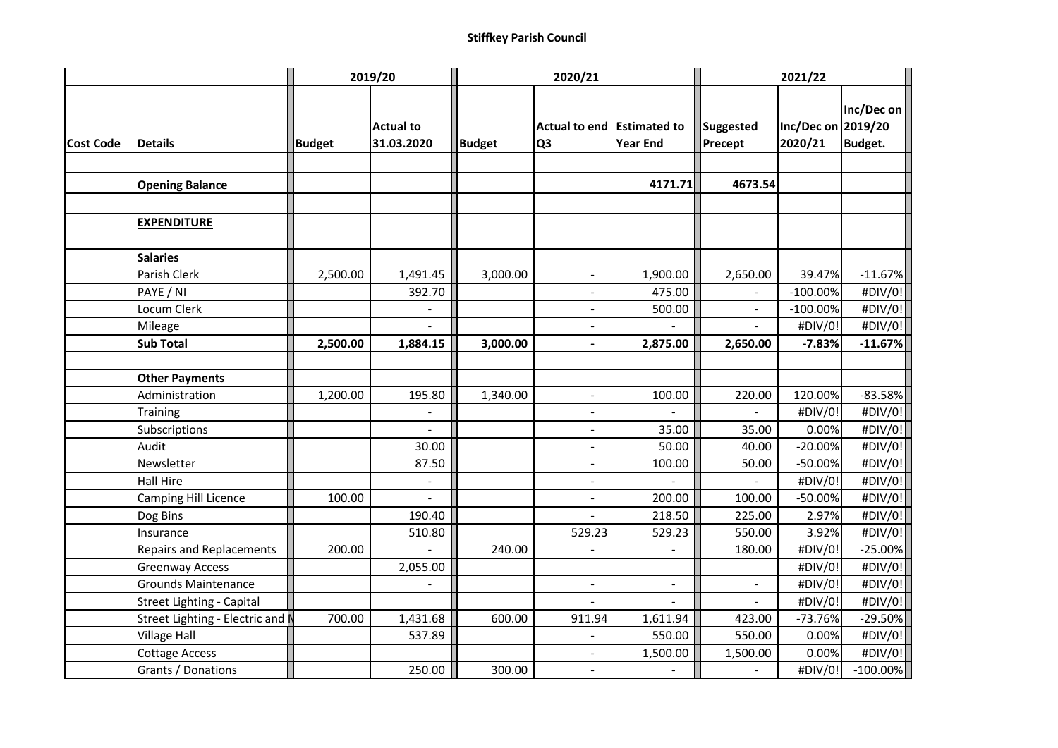|                  |                                  | 2019/20       |                                | 2020/21       |                                              |                 | 2021/22                     |                               |                              |
|------------------|----------------------------------|---------------|--------------------------------|---------------|----------------------------------------------|-----------------|-----------------------------|-------------------------------|------------------------------|
| <b>Cost Code</b> | <b>Details</b>                   | <b>Budget</b> | <b>Actual to</b><br>31.03.2020 | <b>Budget</b> | Actual to end Estimated to<br>Q <sub>3</sub> | <b>Year End</b> | <b>Suggested</b><br>Precept | Inc/Dec on 2019/20<br>2020/21 | Inc/Dec on<br><b>Budget.</b> |
|                  |                                  |               |                                |               |                                              |                 |                             |                               |                              |
|                  | <b>Opening Balance</b>           |               |                                |               |                                              | 4171.71         | 4673.54                     |                               |                              |
|                  |                                  |               |                                |               |                                              |                 |                             |                               |                              |
|                  | <b>EXPENDITURE</b>               |               |                                |               |                                              |                 |                             |                               |                              |
|                  |                                  |               |                                |               |                                              |                 |                             |                               |                              |
|                  | <b>Salaries</b>                  |               |                                |               |                                              |                 |                             |                               |                              |
|                  | Parish Clerk                     | 2,500.00      | 1,491.45                       | 3,000.00      | $\sim$                                       | 1,900.00        | 2,650.00                    | 39.47%                        | $-11.67%$                    |
|                  | PAYE / NI                        |               | 392.70                         |               | $\blacksquare$                               | 475.00          |                             | $-100.00%$                    | #DIV/0!                      |
|                  | Locum Clerk                      |               |                                |               | $\blacksquare$                               | 500.00          |                             | $-100.00%$                    | #DIV/0!                      |
|                  | Mileage                          |               |                                |               | $\blacksquare$                               |                 |                             | #DIV/0!                       | #DIV/0!                      |
|                  | <b>Sub Total</b>                 | 2,500.00      | 1,884.15                       | 3,000.00      | $\blacksquare$                               | 2,875.00        | 2,650.00                    | $-7.83%$                      | $-11.67%$                    |
|                  |                                  |               |                                |               |                                              |                 |                             |                               |                              |
|                  | <b>Other Payments</b>            |               |                                |               |                                              |                 |                             |                               |                              |
|                  | Administration                   | 1,200.00      | 195.80                         | 1,340.00      |                                              | 100.00          | 220.00                      | 120.00%                       | $-83.58%$                    |
|                  | Training                         |               |                                |               | $\overline{a}$                               |                 |                             | #DIV/0!                       | #DIV/0!                      |
|                  | Subscriptions                    |               |                                |               | $\overline{a}$                               | 35.00           | 35.00                       | 0.00%                         | #DIV/0!                      |
|                  | Audit                            |               | 30.00                          |               |                                              | 50.00           | 40.00                       | $-20.00%$                     | #DIV/0!                      |
|                  | Newsletter                       |               | 87.50                          |               | $\blacksquare$                               | 100.00          | 50.00                       | $-50.00%$                     | #DIV/0!                      |
|                  | <b>Hall Hire</b>                 |               | $\overline{a}$                 |               | $\blacksquare$                               |                 |                             | #DIV/0!                       | #DIV/0!                      |
|                  | Camping Hill Licence             | 100.00        |                                |               | $\blacksquare$                               | 200.00          | 100.00                      | $-50.00%$                     | #DIV/0!                      |
|                  | Dog Bins                         |               | 190.40                         |               |                                              | 218.50          | 225.00                      | 2.97%                         | #DIV/0!                      |
|                  | Insurance                        |               | 510.80                         |               | 529.23                                       | 529.23          | 550.00                      | 3.92%                         | #DIV/0!                      |
|                  | <b>Repairs and Replacements</b>  | 200.00        |                                | 240.00        |                                              |                 | 180.00                      | #DIV/0!                       | $-25.00%$                    |
|                  | <b>Greenway Access</b>           |               | 2,055.00                       |               |                                              |                 |                             | #DIV/0!                       | #DIV/0!                      |
|                  | <b>Grounds Maintenance</b>       |               |                                |               | $\sim$                                       |                 |                             | #DIV/0!                       | #DIV/0!                      |
|                  | <b>Street Lighting - Capital</b> |               |                                |               |                                              |                 |                             | #DIV/0!                       | #DIV/0!                      |
|                  | Street Lighting - Electric and I | 700.00        | 1,431.68                       | 600.00        | 911.94                                       | 1,611.94        | 423.00                      | $-73.76%$                     | -29.50%                      |
|                  | <b>Village Hall</b>              |               | 537.89                         |               |                                              | 550.00          | 550.00                      | 0.00%                         | #DIV/0!                      |
|                  | <b>Cottage Access</b>            |               |                                |               | $\overline{\phantom{a}}$                     | 1,500.00        | 1,500.00                    | 0.00%                         | #DIV/0!                      |
|                  | Grants / Donations               |               | 250.00                         | 300.00        | $\overline{\phantom{a}}$                     |                 |                             | #DIV/0!                       | $-100.00\%$                  |